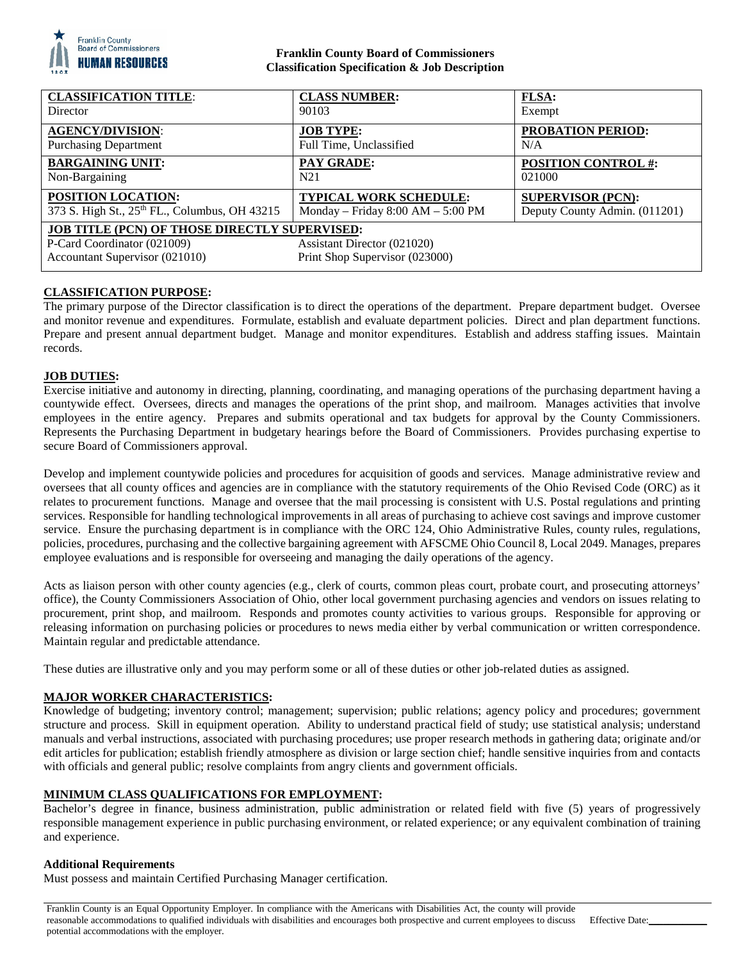

## **Franklin County Board of Commissioners Classification Specification & Job Description**

| <b>CLASSIFICATION TITLE:</b><br>Director                                   | <b>CLASS NUMBER:</b><br>90103                                        | <b>FLSA:</b><br>Exempt                                    |
|----------------------------------------------------------------------------|----------------------------------------------------------------------|-----------------------------------------------------------|
| <b>AGENCY/DIVISION:</b>                                                    | <b>JOB TYPE:</b>                                                     | <b>PROBATION PERIOD:</b>                                  |
| <b>Purchasing Department</b>                                               | Full Time, Unclassified                                              | N/A                                                       |
| <b>BARGAINING UNIT:</b><br>Non-Bargaining                                  | <b>PAY GRADE:</b><br>N <sub>21</sub>                                 | <b>POSITION CONTROL #:</b><br>021000                      |
| <b>POSITION LOCATION:</b><br>373 S. High St., 25th FL., Columbus, OH 43215 | <b>TYPICAL WORK SCHEDULE:</b><br>Monday – Friday $8:00 AM - 5:00 PM$ | <b>SUPERVISOR (PCN):</b><br>Deputy County Admin. (011201) |
| <b>JOB TITLE (PCN) OF THOSE DIRECTLY SUPERVISED:</b>                       |                                                                      |                                                           |
| P-Card Coordinator (021009)                                                | Assistant Director (021020)                                          |                                                           |
| Accountant Supervisor (021010)                                             | Print Shop Supervisor (023000)                                       |                                                           |

# **CLASSIFICATION PURPOSE:**

The primary purpose of the Director classification is to direct the operations of the department. Prepare department budget. Oversee and monitor revenue and expenditures. Formulate, establish and evaluate department policies. Direct and plan department functions. Prepare and present annual department budget. Manage and monitor expenditures. Establish and address staffing issues. Maintain records.

#### **JOB DUTIES:**

Exercise initiative and autonomy in directing, planning, coordinating, and managing operations of the purchasing department having a countywide effect. Oversees, directs and manages the operations of the print shop, and mailroom. Manages activities that involve employees in the entire agency. Prepares and submits operational and tax budgets for approval by the County Commissioners. Represents the Purchasing Department in budgetary hearings before the Board of Commissioners. Provides purchasing expertise to secure Board of Commissioners approval.

Develop and implement countywide policies and procedures for acquisition of goods and services. Manage administrative review and oversees that all county offices and agencies are in compliance with the statutory requirements of the Ohio Revised Code (ORC) as it relates to procurement functions. Manage and oversee that the mail processing is consistent with U.S. Postal regulations and printing services. Responsible for handling technological improvements in all areas of purchasing to achieve cost savings and improve customer service. Ensure the purchasing department is in compliance with the ORC 124, Ohio Administrative Rules, county rules, regulations, policies, procedures, purchasing and the collective bargaining agreement with AFSCME Ohio Council 8, Local 2049. Manages, prepares employee evaluations and is responsible for overseeing and managing the daily operations of the agency.

Acts as liaison person with other county agencies (e.g., clerk of courts, common pleas court, probate court, and prosecuting attorneys' office), the County Commissioners Association of Ohio, other local government purchasing agencies and vendors on issues relating to procurement, print shop, and mailroom. Responds and promotes county activities to various groups. Responsible for approving or releasing information on purchasing policies or procedures to news media either by verbal communication or written correspondence. Maintain regular and predictable attendance.

These duties are illustrative only and you may perform some or all of these duties or other job-related duties as assigned.

## **MAJOR WORKER CHARACTERISTICS:**

Knowledge of budgeting; inventory control; management; supervision; public relations; agency policy and procedures; government structure and process. Skill in equipment operation. Ability to understand practical field of study; use statistical analysis; understand manuals and verbal instructions, associated with purchasing procedures; use proper research methods in gathering data; originate and/or edit articles for publication; establish friendly atmosphere as division or large section chief; handle sensitive inquiries from and contacts with officials and general public; resolve complaints from angry clients and government officials.

## **MINIMUM CLASS QUALIFICATIONS FOR EMPLOYMENT:**

Bachelor's degree in finance, business administration, public administration or related field with five (5) years of progressively responsible management experience in public purchasing environment, or related experience; or any equivalent combination of training and experience.

#### **Additional Requirements**

Must possess and maintain Certified Purchasing Manager certification.

Franklin County is an Equal Opportunity Employer. In compliance with the Americans with Disabilities Act, the county will provide reasonable accommodations to qualified individuals with disabilities and encourages both prospective and current employees to discuss potential accommodations with the employer.